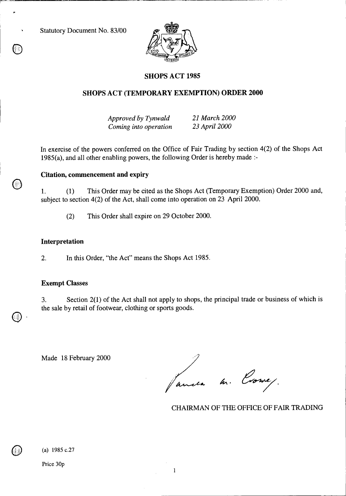Statutory Document No. 83/00



# **SHOPS ACT 1985**

### **SHOPS ACT (TEMPORARY EXEMPTION) ORDER 2000**

*Approved by Tynwald 21 March 2000 Coming into operation 23 April 2000* 

In exercise of the powers conferred on the Office of Fair Trading by section 4(2) of the Shops Act 1985(a), and all other enabling powers, the following Order is hereby made :-

## **Citation, commencement and expiry**

1. (1) This Order may be cited as the Shops Act (Temporary Exemption) Order 2000 and, subject to section 4(2) of the Act, shall come into operation on 23 April 2000.

(2) This Order shall expire on 29 October 2000.

#### **Interpretation**

2. In this Order, "the Act" means the Shops Act 1985.

#### **Exempt Classes**

3. Section 2(1) of the Act shall not apply to shops, the principal trade or business of which is the sale by retail of footwear, clothing or sports goods.

Made 18 February 2000

anda m. Correy.

CHAIRMAN OF THE OFFICE OF FAIR TRADING

(a) 1985 c.27

Price 30p